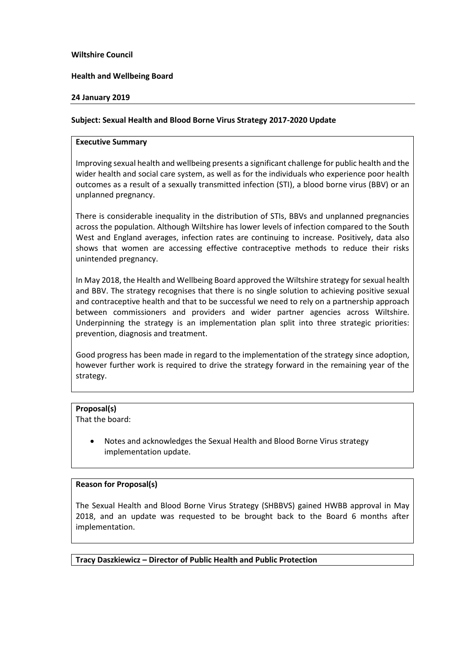## **Wiltshire Council**

## **Health and Wellbeing Board**

## **24 January 2019**

# **Subject: Sexual Health and Blood Borne Virus Strategy 2017-2020 Update**

#### **Executive Summary**

Improving sexual health and wellbeing presents a significant challenge for public health and the wider health and social care system, as well as for the individuals who experience poor health outcomes as a result of a sexually transmitted infection (STI), a blood borne virus (BBV) or an unplanned pregnancy.

There is considerable inequality in the distribution of STIs, BBVs and unplanned pregnancies across the population. Although Wiltshire has lower levels of infection compared to the South West and England averages, infection rates are continuing to increase. Positively, data also shows that women are accessing effective contraceptive methods to reduce their risks unintended pregnancy.

In May 2018, the Health and Wellbeing Board approved the Wiltshire strategy for sexual health and BBV. The strategy recognises that there is no single solution to achieving positive sexual and contraceptive health and that to be successful we need to rely on a partnership approach between commissioners and providers and wider partner agencies across Wiltshire. Underpinning the strategy is an implementation plan split into three strategic priorities: prevention, diagnosis and treatment.

Good progress has been made in regard to the implementation of the strategy since adoption, however further work is required to drive the strategy forward in the remaining year of the strategy.

# **Proposal(s)**

That the board:

 Notes and acknowledges the Sexual Health and Blood Borne Virus strategy implementation update.

# **Reason for Proposal(s)**

The Sexual Health and Blood Borne Virus Strategy (SHBBVS) gained HWBB approval in May 2018, and an update was requested to be brought back to the Board 6 months after implementation.

**Tracy Daszkiewicz – Director of Public Health and Public Protection**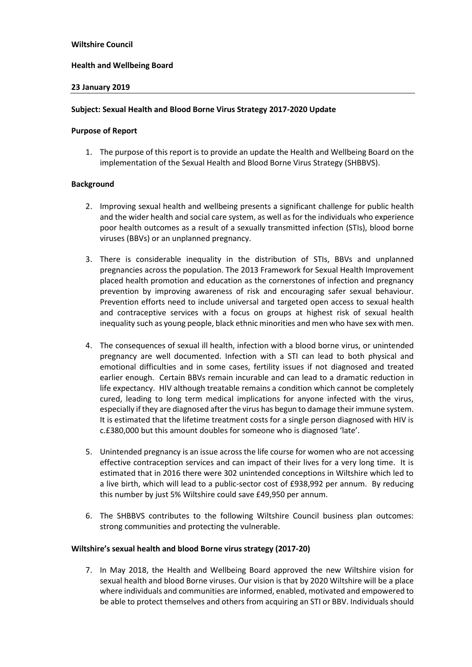# **Health and Wellbeing Board**

## **23 January 2019**

## **Subject: Sexual Health and Blood Borne Virus Strategy 2017-2020 Update**

#### **Purpose of Report**

1. The purpose of this report is to provide an update the Health and Wellbeing Board on the implementation of the Sexual Health and Blood Borne Virus Strategy (SHBBVS).

## **Background**

- 2. Improving sexual health and wellbeing presents a significant challenge for public health and the wider health and social care system, as well as for the individuals who experience poor health outcomes as a result of a sexually transmitted infection (STIs), blood borne viruses (BBVs) or an unplanned pregnancy.
- 3. There is considerable inequality in the distribution of STIs, BBVs and unplanned pregnancies across the population. The 2013 Framework for Sexual Health Improvement placed health promotion and education as the cornerstones of infection and pregnancy prevention by improving awareness of risk and encouraging safer sexual behaviour. Prevention efforts need to include universal and targeted open access to sexual health and contraceptive services with a focus on groups at highest risk of sexual health inequality such as young people, black ethnic minorities and men who have sex with men.
- 4. The consequences of sexual ill health, infection with a blood borne virus, or unintended pregnancy are well documented. Infection with a STI can lead to both physical and emotional difficulties and in some cases, fertility issues if not diagnosed and treated earlier enough. Certain BBVs remain incurable and can lead to a dramatic reduction in life expectancy. HIV although treatable remains a condition which cannot be completely cured, leading to long term medical implications for anyone infected with the virus, especially if they are diagnosed after the virus has begun to damage their immune system. It is estimated that the lifetime treatment costs for a single person diagnosed with HIV is c.£380,000 but this amount doubles for someone who is diagnosed 'late'.
- 5. Unintended pregnancy is an issue across the life course for women who are not accessing effective contraception services and can impact of their lives for a very long time. It is estimated that in 2016 there were 302 unintended conceptions in Wiltshire which led to a live birth, which will lead to a public-sector cost of £938,992 per annum. By reducing this number by just 5% Wiltshire could save £49,950 per annum.
- 6. The SHBBVS contributes to the following Wiltshire Council business plan outcomes: strong communities and protecting the vulnerable.

#### **Wiltshire's sexual health and blood Borne virus strategy (2017-20)**

7. In May 2018, the Health and Wellbeing Board approved the new Wiltshire vision for sexual health and blood Borne viruses. Our vision is that by 2020 Wiltshire will be a place where individuals and communities are informed, enabled, motivated and empowered to be able to protect themselves and others from acquiring an STI or BBV. Individuals should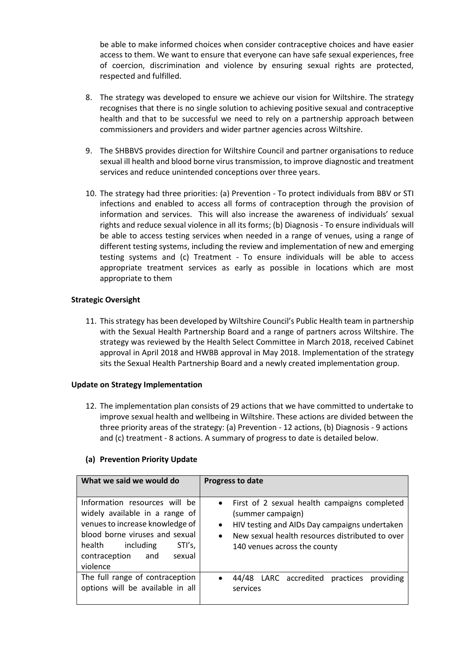be able to make informed choices when consider contraceptive choices and have easier access to them. We want to ensure that everyone can have safe sexual experiences, free of coercion, discrimination and violence by ensuring sexual rights are protected, respected and fulfilled.

- 8. The strategy was developed to ensure we achieve our vision for Wiltshire. The strategy recognises that there is no single solution to achieving positive sexual and contraceptive health and that to be successful we need to rely on a partnership approach between commissioners and providers and wider partner agencies across Wiltshire.
- 9. The SHBBVS provides direction for Wiltshire Council and partner organisations to reduce sexual ill health and blood borne virus transmission, to improve diagnostic and treatment services and reduce unintended conceptions over three years.
- 10. The strategy had three priorities: (a) Prevention To protect individuals from BBV or STI infections and enabled to access all forms of contraception through the provision of information and services. This will also increase the awareness of individuals' sexual rights and reduce sexual violence in all its forms; (b) Diagnosis - To ensure individuals will be able to access testing services when needed in a range of venues, using a range of different testing systems, including the review and implementation of new and emerging testing systems and (c) Treatment - To ensure individuals will be able to access appropriate treatment services as early as possible in locations which are most appropriate to them

# **Strategic Oversight**

11. This strategy has been developed by Wiltshire Council's Public Health team in partnership with the Sexual Health Partnership Board and a range of partners across Wiltshire. The strategy was reviewed by the Health Select Committee in March 2018, received Cabinet approval in April 2018 and HWBB approval in May 2018. Implementation of the strategy sits the Sexual Health Partnership Board and a newly created implementation group.

# **Update on Strategy Implementation**

12. The implementation plan consists of 29 actions that we have committed to undertake to improve sexual health and wellbeing in Wiltshire. These actions are divided between the three priority areas of the strategy: (a) Prevention - 12 actions, (b) Diagnosis - 9 actions and (c) treatment - 8 actions. A summary of progress to date is detailed below.

| What we said we would do                                                                                                                                                                                            | <b>Progress to date</b>                                                                                                                                                                                                           |
|---------------------------------------------------------------------------------------------------------------------------------------------------------------------------------------------------------------------|-----------------------------------------------------------------------------------------------------------------------------------------------------------------------------------------------------------------------------------|
| Information resources will be<br>widely available in a range of<br>venues to increase knowledge of<br>blood borne viruses and sexual<br>STI's,<br>including<br>health<br>contraception<br>sexual<br>and<br>violence | • First of 2 sexual health campaigns completed<br>(summer campaign)<br>HIV testing and AIDs Day campaigns undertaken<br>$\bullet$<br>New sexual health resources distributed to over<br>$\bullet$<br>140 venues across the county |
| The full range of contraception<br>options will be available in all                                                                                                                                                 | 44/48 LARC accredited practices<br>providing<br>$\bullet$<br>services                                                                                                                                                             |

# **(a) Prevention Priority Update**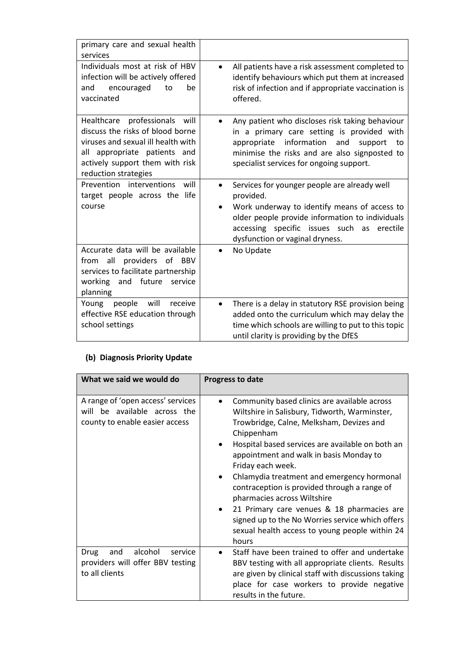| primary care and sexual health<br>services                                                                                                                                                            |                                                                                                                                                                                                                                                                         |
|-------------------------------------------------------------------------------------------------------------------------------------------------------------------------------------------------------|-------------------------------------------------------------------------------------------------------------------------------------------------------------------------------------------------------------------------------------------------------------------------|
| Individuals most at risk of HBV<br>infection will be actively offered<br>encouraged<br>be<br>and<br>to<br>vaccinated                                                                                  | All patients have a risk assessment completed to<br>$\bullet$<br>identify behaviours which put them at increased<br>risk of infection and if appropriate vaccination is<br>offered.                                                                                     |
| professionals will<br>Healthcare<br>discuss the risks of blood borne<br>viruses and sexual ill health with<br>all appropriate patients and<br>actively support them with risk<br>reduction strategies | Any patient who discloses risk taking behaviour<br>$\bullet$<br>in a primary care setting is provided with<br>appropriate information<br>and<br>support<br>to to<br>minimise the risks and are also signposted to<br>specialist services for ongoing support.           |
| Prevention<br>interventions<br>will<br>target people across the life<br>course                                                                                                                        | Services for younger people are already well<br>$\bullet$<br>provided.<br>Work underway to identify means of access to<br>$\bullet$<br>older people provide information to individuals<br>accessing specific issues such as erectile<br>dysfunction or vaginal dryness. |
| Accurate data will be available<br>from all providers of BBV<br>services to facilitate partnership<br>future<br>working<br>and<br>service<br>planning                                                 | No Update<br>$\bullet$                                                                                                                                                                                                                                                  |
| will<br>Young<br>people<br>receive<br>effective RSE education through<br>school settings                                                                                                              | There is a delay in statutory RSE provision being<br>$\bullet$<br>added onto the curriculum which may delay the<br>time which schools are willing to put to this topic<br>until clarity is providing by the DfES                                                        |

# **(b) Diagnosis Priority Update**

| What we said we would do                                                                               | <b>Progress to date</b>                                                                                                                                                                                                                                                                                                                                                                                                                                                                                                                                                                                      |
|--------------------------------------------------------------------------------------------------------|--------------------------------------------------------------------------------------------------------------------------------------------------------------------------------------------------------------------------------------------------------------------------------------------------------------------------------------------------------------------------------------------------------------------------------------------------------------------------------------------------------------------------------------------------------------------------------------------------------------|
| A range of 'open access' services<br>be available across the<br>will<br>county to enable easier access | Community based clinics are available across<br>Wiltshire in Salisbury, Tidworth, Warminster,<br>Trowbridge, Calne, Melksham, Devizes and<br>Chippenham<br>Hospital based services are available on both an<br>$\bullet$<br>appointment and walk in basis Monday to<br>Friday each week.<br>Chlamydia treatment and emergency hormonal<br>$\bullet$<br>contraception is provided through a range of<br>pharmacies across Wiltshire<br>21 Primary care venues & 18 pharmacies are<br>$\bullet$<br>signed up to the No Worries service which offers<br>sexual health access to young people within 24<br>hours |
| alcohol<br>and<br><b>Drug</b><br>service<br>providers will offer BBV testing<br>to all clients         | Staff have been trained to offer and undertake<br>BBV testing with all appropriate clients. Results<br>are given by clinical staff with discussions taking<br>place for case workers to provide negative<br>results in the future.                                                                                                                                                                                                                                                                                                                                                                           |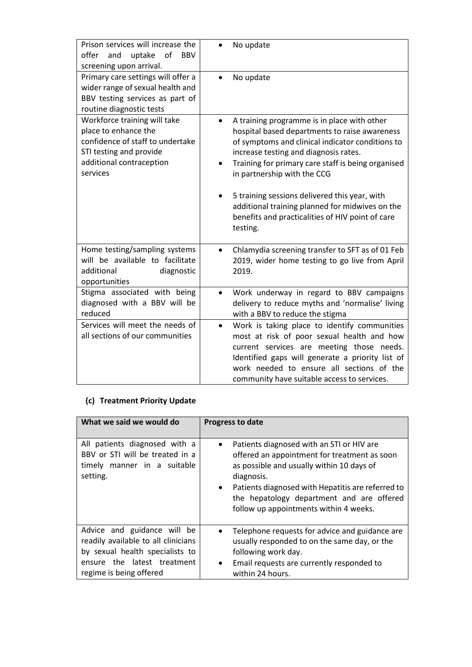| Prison services will increase the<br>of<br>offer<br>and<br>uptake<br><b>BBV</b><br>screening upon arrival.                                                  | No update                                                                                                                                                                                                                                                                                                                                                                                                                                                            |
|-------------------------------------------------------------------------------------------------------------------------------------------------------------|----------------------------------------------------------------------------------------------------------------------------------------------------------------------------------------------------------------------------------------------------------------------------------------------------------------------------------------------------------------------------------------------------------------------------------------------------------------------|
| Primary care settings will offer a<br>wider range of sexual health and<br>BBV testing services as part of<br>routine diagnostic tests                       | No update<br>$\bullet$                                                                                                                                                                                                                                                                                                                                                                                                                                               |
| Workforce training will take<br>place to enhance the<br>confidence of staff to undertake<br>STI testing and provide<br>additional contraception<br>services | A training programme is in place with other<br>$\bullet$<br>hospital based departments to raise awareness<br>of symptoms and clinical indicator conditions to<br>increase testing and diagnosis rates.<br>Training for primary care staff is being organised<br>٠<br>in partnership with the CCG<br>5 training sessions delivered this year, with<br>additional training planned for midwives on the<br>benefits and practicalities of HIV point of care<br>testing. |
| Home testing/sampling systems<br>will be available to facilitate<br>additional<br>diagnostic<br>opportunities                                               | Chlamydia screening transfer to SFT as of 01 Feb<br>$\bullet$<br>2019, wider home testing to go live from April<br>2019.                                                                                                                                                                                                                                                                                                                                             |
| Stigma associated with being<br>diagnosed with a BBV will be<br>reduced                                                                                     | Work underway in regard to BBV campaigns<br>$\bullet$<br>delivery to reduce myths and 'normalise' living<br>with a BBV to reduce the stigma                                                                                                                                                                                                                                                                                                                          |
| Services will meet the needs of<br>all sections of our communities                                                                                          | Work is taking place to identify communities<br>$\bullet$<br>most at risk of poor sexual health and how<br>current services are meeting those needs.<br>Identified gaps will generate a priority list of<br>work needed to ensure all sections of the<br>community have suitable access to services.                                                                                                                                                                 |

# **(c) Treatment Priority Update**

| What we said we would do                                                                                                                                        | <b>Progress to date</b>                                                                                                                                                                                                                                                                                                    |
|-----------------------------------------------------------------------------------------------------------------------------------------------------------------|----------------------------------------------------------------------------------------------------------------------------------------------------------------------------------------------------------------------------------------------------------------------------------------------------------------------------|
| All patients diagnosed with a<br>BBV or STI will be treated in a<br>timely manner in a suitable<br>setting.                                                     | Patients diagnosed with an STI or HIV are<br>$\bullet$<br>offered an appointment for treatment as soon<br>as possible and usually within 10 days of<br>diagnosis.<br>Patients diagnosed with Hepatitis are referred to<br>$\bullet$<br>the hepatology department and are offered<br>follow up appointments within 4 weeks. |
| Advice and guidance will be<br>readily available to all clinicians<br>by sexual health specialists to<br>ensure the latest treatment<br>regime is being offered | Telephone requests for advice and guidance are<br>$\bullet$<br>usually responded to on the same day, or the<br>following work day.<br>Email requests are currently responded to<br>$\bullet$<br>within 24 hours.                                                                                                           |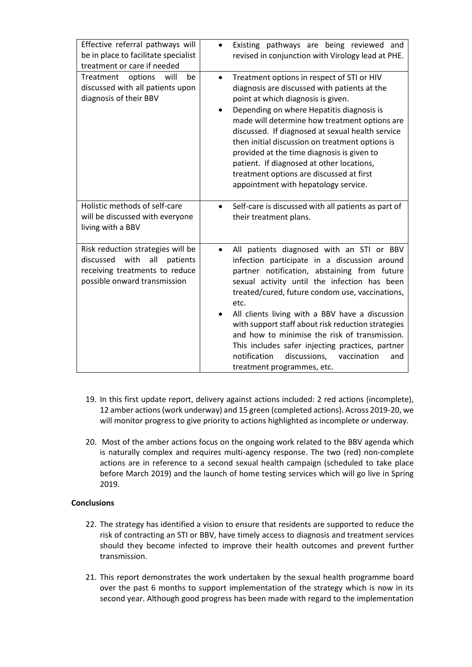| Effective referral pathways will                                                                                                            | Existing pathways are being reviewed and                                                                                                                                                                                                                                                                                                                                                                                                                                                                                                                            |
|---------------------------------------------------------------------------------------------------------------------------------------------|---------------------------------------------------------------------------------------------------------------------------------------------------------------------------------------------------------------------------------------------------------------------------------------------------------------------------------------------------------------------------------------------------------------------------------------------------------------------------------------------------------------------------------------------------------------------|
| be in place to facilitate specialist                                                                                                        | $\bullet$                                                                                                                                                                                                                                                                                                                                                                                                                                                                                                                                                           |
| treatment or care if needed                                                                                                                 | revised in conjunction with Virology lead at PHE.                                                                                                                                                                                                                                                                                                                                                                                                                                                                                                                   |
| Treatment<br>options<br>will<br>be<br>discussed with all patients upon<br>diagnosis of their BBV                                            | Treatment options in respect of STI or HIV<br>$\bullet$<br>diagnosis are discussed with patients at the<br>point at which diagnosis is given.<br>Depending on where Hepatitis diagnosis is<br>made will determine how treatment options are<br>discussed. If diagnosed at sexual health service<br>then initial discussion on treatment options is<br>provided at the time diagnosis is given to<br>patient. If diagnosed at other locations,<br>treatment options are discussed at first<br>appointment with hepatology service.                                   |
| Holistic methods of self-care                                                                                                               | Self-care is discussed with all patients as part of                                                                                                                                                                                                                                                                                                                                                                                                                                                                                                                 |
| will be discussed with everyone                                                                                                             | $\bullet$                                                                                                                                                                                                                                                                                                                                                                                                                                                                                                                                                           |
| living with a BBV                                                                                                                           | their treatment plans.                                                                                                                                                                                                                                                                                                                                                                                                                                                                                                                                              |
| Risk reduction strategies will be<br>with<br>all<br>discussed<br>patients<br>receiving treatments to reduce<br>possible onward transmission | All patients diagnosed with an STI or BBV<br>$\bullet$<br>infection participate in a discussion around<br>partner notification, abstaining from future<br>sexual activity until the infection has been<br>treated/cured, future condom use, vaccinations,<br>etc.<br>All clients living with a BBV have a discussion<br>with support staff about risk reduction strategies<br>and how to minimise the risk of transmission.<br>This includes safer injecting practices, partner<br>discussions,<br>notification<br>vaccination<br>and<br>treatment programmes, etc. |

- 19. In this first update report, delivery against actions included: 2 red actions (incomplete), 12 amber actions (work underway) and 15 green (completed actions). Across 2019-20, we will monitor progress to give priority to actions highlighted as incomplete or underway.
- 20. Most of the amber actions focus on the ongoing work related to the BBV agenda which is naturally complex and requires multi-agency response. The two (red) non-complete actions are in reference to a second sexual health campaign (scheduled to take place before March 2019) and the launch of home testing services which will go live in Spring 2019.

# **Conclusions**

- 22. The strategy has identified a vision to ensure that residents are supported to reduce the risk of contracting an STI or BBV, have timely access to diagnosis and treatment services should they become infected to improve their health outcomes and prevent further transmission.
- 21. This report demonstrates the work undertaken by the sexual health programme board over the past 6 months to support implementation of the strategy which is now in its second year. Although good progress has been made with regard to the implementation